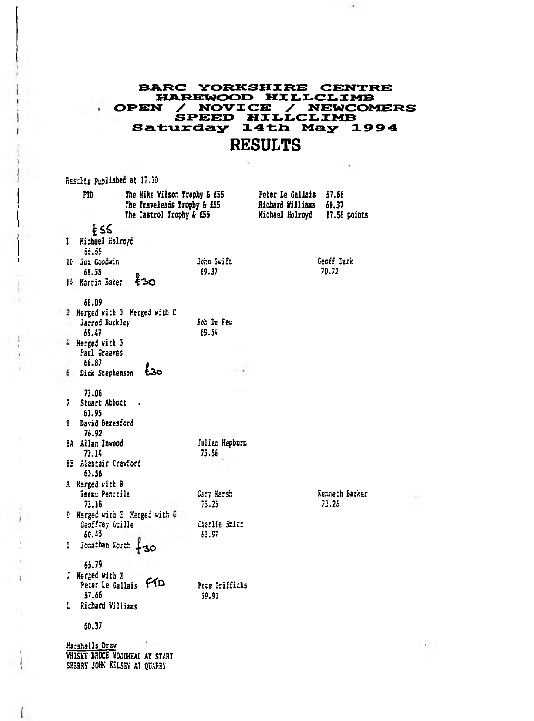## **BARC YORKSHIRE CENTRE** HAREWOOD HILLCLIMB PEN / NOVICE / NEWCOMERS<br>SPEED HILLCLIMB<br>Saturday 14th May 1994 **OPEN RESULTS**

 $\cdot$  .

 $\sim 10^{-1}$ 

Results Published at 17.30  $\sim$ 

٠

|   | m                                                 | The Mike Wilson Trophy & £55<br>The Traveleads Trophy & £55<br>The Castrol Trophy & £55 |                         | Peter Le Gallais<br>Richard Williams<br>Michael Holrovd | 57.66<br>60.37<br>17.58 points |
|---|---------------------------------------------------|-----------------------------------------------------------------------------------------|-------------------------|---------------------------------------------------------|--------------------------------|
|   | Ł٤S                                               |                                                                                         |                         |                                                         |                                |
| 1 | Michael Holroyd<br>55.55                          |                                                                                         |                         |                                                         |                                |
|   | 10 Jon Goodwin<br>68.55                           |                                                                                         | John Swift<br>69.37     |                                                         | Geoff Dark<br>70.72            |
|   | 14 Martin Baker                                   | ≹ദവ                                                                                     |                         |                                                         |                                |
|   | 68.09                                             | 2 Herged with 3 Merged with C                                                           |                         |                                                         |                                |
|   | Jarrod Buckley<br>69.47                           |                                                                                         | Bob Du Feu<br>69.54     |                                                         |                                |
|   | 4 Herged with 5<br>Paul Greaves                   |                                                                                         |                         |                                                         |                                |
|   | 66.87<br>6 Dick Stephenson                        | 5٥ -                                                                                    |                         |                                                         |                                |
|   | 73.06                                             |                                                                                         |                         |                                                         |                                |
| 7 | Stuart Abbott<br>63.95                            |                                                                                         |                         |                                                         |                                |
| s | David Beresford<br>76.92                          |                                                                                         |                         |                                                         |                                |
|   | 8A Allan Invood<br>73.14                          |                                                                                         | Julian Hepburn<br>73.56 |                                                         |                                |
|   | 85 Alastair Crawford<br>65.56                     |                                                                                         |                         |                                                         |                                |
|   | A Merged with B                                   |                                                                                         |                         |                                                         |                                |
|   | Teer: Penttila<br>73.18                           |                                                                                         | Garr Marsh<br>73.23     |                                                         | Kenneth Barker<br>73.26        |
|   | Geoffrey Guille<br>68.63                          | D. Herged with E. Herged with G                                                         | Charlie Szith<br>63.97  |                                                         |                                |
| I | Jonathan North 430                                |                                                                                         |                         |                                                         |                                |
|   | 65.79                                             |                                                                                         |                         |                                                         |                                |
|   | J Herged with K<br>Peter Le Gallais<br>57.66      | FΦ                                                                                      | Pete Griffiths          |                                                         |                                |
|   | 1 Richard Williams                                |                                                                                         | 59.90                   |                                                         |                                |
|   | 60.37                                             |                                                                                         |                         |                                                         |                                |
|   | Marshalls Draw<br><b>1717 Art: BODAC Unnounce</b> |                                                                                         |                         |                                                         |                                |

**WHISKY BRUCE WOODHEAD AT START** SHERRY JOHN KELSEY AT OUARRY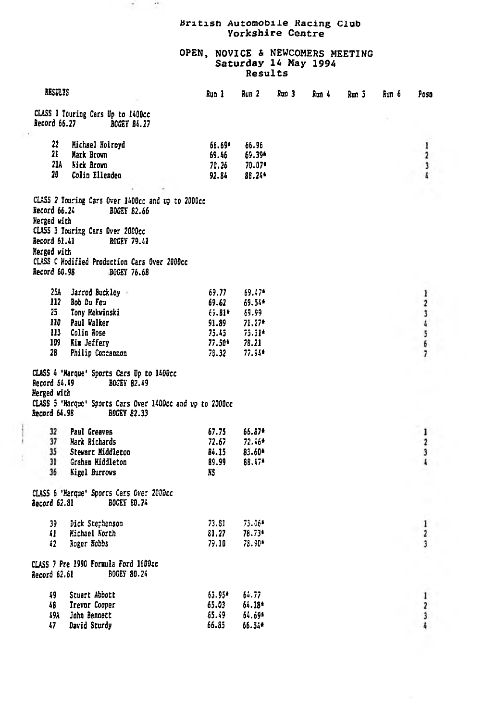## British Automobile Racing Club<br>Yorkshire Centre

 $\sim$  $\rightarrow$  50

## OPEN, NOVICE & NEWCOMERS MEETING<br>Saturday 14 May 1994<br>Results

|  | RESULTS                                  |                                                           | Run 1           | Run 2           |  | Run 3<br>Run 4 |  | Run 6 | Poso                         |
|--|------------------------------------------|-----------------------------------------------------------|-----------------|-----------------|--|----------------|--|-------|------------------------------|
|  | <b>Record 66.27</b>                      | CLASS 1 Touring Cars Up to 1400cc<br><b>BOGEY 84.27</b>   |                 |                 |  |                |  |       |                              |
|  |                                          |                                                           |                 |                 |  |                |  |       |                              |
|  | 22                                       | Michael Holroyd                                           | 66.69*          | 66.96           |  |                |  |       | ı                            |
|  | 21                                       | <b>Mark Brown</b>                                         | 69.46           | 69.39*          |  |                |  |       | 2                            |
|  |                                          | 21A Nick Brown                                            | 70.26           | 70.07*          |  |                |  |       | 3                            |
|  | 20                                       | Colin Ellenden                                            | 92.84           | 88.24*          |  |                |  |       |                              |
|  |                                          |                                                           |                 |                 |  |                |  |       |                              |
|  |                                          | CLASS 2 Touring Cars Over 1400cc and up to 2000cc         |                 |                 |  |                |  |       |                              |
|  | Record 66.24                             | <b>BOGEY 82.66</b>                                        |                 |                 |  |                |  |       |                              |
|  | Herzed with                              |                                                           |                 |                 |  |                |  |       |                              |
|  |                                          | CLASS 3 Touring Cars Over 2000cc                          |                 |                 |  |                |  |       |                              |
|  | Record 61.41                             | <b>BOGEY 79.41</b>                                        |                 |                 |  |                |  |       |                              |
|  | Nerged with                              |                                                           |                 |                 |  |                |  |       |                              |
|  |                                          | CLASS C Nodified Production Cars Over 2000cc              |                 |                 |  |                |  |       |                              |
|  | Record 60.98                             | BOGEY 76.68                                               |                 |                 |  |                |  |       |                              |
|  | 25A                                      | Jarrod Buckley                                            | 69.77           | 69.47*          |  |                |  |       | 1                            |
|  |                                          | 112 Bob Du Feu                                            | 69.62           | 69.54*          |  |                |  |       | 2                            |
|  | 25                                       | Tony Hekvinski                                            | 69.81*          | 69.99           |  |                |  |       |                              |
|  |                                          | 110 Paul Walker                                           | 91.89           | $71.27*$        |  |                |  |       | <b>OR US &amp; LB</b>        |
|  |                                          | 113 Colin Rose                                            | 75.45           | 75.31*          |  |                |  |       |                              |
|  | 109                                      | Kim Jeffery                                               | 77.50*          | 78.21           |  |                |  |       |                              |
|  | 28                                       | Philip Concannon                                          | 78.32           | 77.94*          |  |                |  |       | 7                            |
|  |                                          | CLASS 4 'Marque' Sports Cars Up to 1400cc                 |                 |                 |  |                |  |       |                              |
|  | Record 64.49                             | BOGEY 82.49                                               |                 |                 |  |                |  |       |                              |
|  | Herzed with                              |                                                           |                 |                 |  |                |  |       |                              |
|  |                                          | CLASS 5 'Marque' Sports Cars Over 1400cc and up to 2000cc |                 |                 |  |                |  |       |                              |
|  | Record 64.98                             | <b>BOGEY 82.33</b>                                        |                 |                 |  |                |  |       |                              |
|  |                                          |                                                           |                 |                 |  |                |  |       |                              |
|  | 32                                       | Paul Greaves                                              | 67.75           | 66.87*          |  |                |  |       | ı                            |
|  | 37                                       | Mark Richards                                             | 72.67           | $72.46*$        |  |                |  |       | $\overline{2}$               |
|  | 35                                       | Stevart Middleton                                         | 84.15           | 83.60*          |  |                |  |       | 3                            |
|  | 31<br>36                                 | Graham Hiddleton                                          | 89.99<br>KS.    | 88.474          |  |                |  |       | 1                            |
|  |                                          | <b>Nigel Burrows</b>                                      |                 |                 |  |                |  |       |                              |
|  | CLASS 6 'Marque' Sports Cars Over 2000cc |                                                           |                 |                 |  |                |  |       |                              |
|  | Record 62.81                             | <b>BOGEY 80.74</b>                                        |                 |                 |  |                |  |       |                              |
|  |                                          |                                                           |                 |                 |  |                |  |       |                              |
|  | 39                                       | Dick Stephenson                                           | 73.81           | 73.06*          |  |                |  |       | ı                            |
|  | 41                                       | Michael North                                             | 81.27           | 78.73*          |  |                |  |       | 2                            |
|  | 42                                       | Roger Hobbs                                               | 79.10           | 78.90*          |  |                |  |       | 3                            |
|  |                                          | CLASS 7 Pre 1990 Formula Ford 1600cc                      |                 |                 |  |                |  |       |                              |
|  | Record 62.61                             | <b>BOGEY 80.24</b>                                        |                 |                 |  |                |  |       |                              |
|  |                                          |                                                           |                 |                 |  |                |  |       |                              |
|  | 49<br>48                                 | Stuart Abbott<br>Trevor Cooper                            | 63.95*<br>65.03 | 64.77<br>64.18* |  |                |  |       | 1                            |
|  | 49A                                      | John Bennett                                              | 65.49           | 64.69*          |  |                |  |       | $\overline{\mathbf{2}}$<br>3 |
|  | 17                                       | David Sturdy                                              | 66.85           | 66.34*          |  |                |  |       | ł,                           |
|  |                                          |                                                           |                 |                 |  |                |  |       |                              |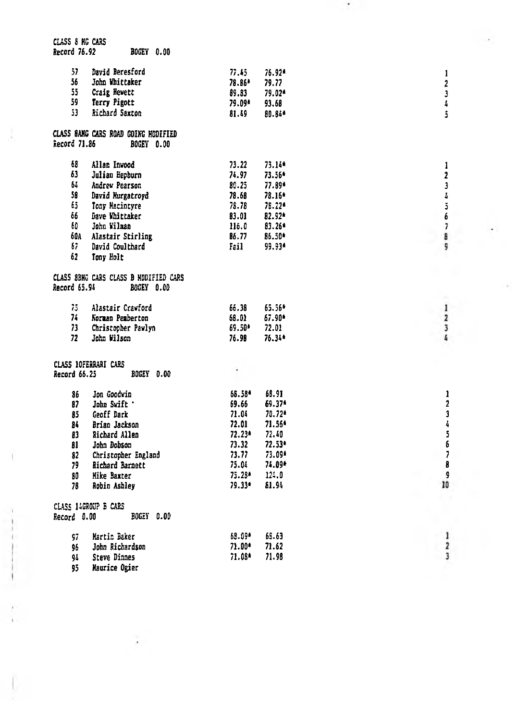| CLASS 8 NG CARS     |                                       |          |          |                          |
|---------------------|---------------------------------------|----------|----------|--------------------------|
| <b>Record 76.92</b> | <b>BOGEY 0.00</b>                     |          |          |                          |
|                     |                                       |          |          |                          |
| 57                  | David Beresford                       | 77.45    | 76.92*   | 1                        |
| 56                  | John Whittaker                        | 78.86*   | 79.77    | $\overline{2}$           |
| 55                  | Craig Hewett                          | 89.83    | 79.02*   | 3                        |
| 59                  | Terry Pigott                          | 79.09*   | 93.68    | $\pmb{l}_i$              |
| 53                  | Richard Saxton                        | 81.49    | 80.84*   | ŝ                        |
|                     |                                       |          |          |                          |
|                     | CLASS SANG CARS ROAD GOING MODIFIED   |          |          |                          |
| Record 71.86        | BOGEY 0.00                            |          |          |                          |
|                     |                                       |          |          |                          |
| 68                  | Allan Invood                          | 73.22    | 73.144   | 1                        |
| 63                  | Julian Hepburn                        | 74.97    | 73.56*   | 2                        |
| 61                  | Andrew Pearson                        | 80.25    | 77.89*   | $\overline{\mathbf{3}}$  |
| 58                  | David Murgatroyd                      | 78.68    | 78.16*   | $\boldsymbol{\delta}$    |
| 65.                 | Tony Macintyre                        | 78.78    | 78.22*   | 5                        |
| 66                  | Dave Whittaker                        | 83.01    | 82.92*   | 6                        |
| 60                  | John Wilman                           | 116.0    | 83.26*   | $\overline{\phantom{a}}$ |
|                     | 60A Alastair Stirling                 | 86.77    | 86.50*   | 8                        |
| 67.                 | David Coulthard                       | Fail     | 99.93*   | G                        |
|                     |                                       |          |          |                          |
| 62                  | Tony Holt                             |          |          |                          |
|                     |                                       |          |          |                          |
|                     | CLASS 8BHG CARS CLASS B HODIFIED CARS |          |          |                          |
| Record 65.94        | <b>BOGEY 0.00</b>                     |          |          |                          |
|                     |                                       |          |          |                          |
| 75.                 | Alastair Crawford                     | 66.38    | 65.56*   | $\,$ 1                   |
| 74.                 | Norman Pemberton                      | 68.01    | 67.90*   | 2                        |
| 73                  | Christopher Pawlyn                    | 69.50*   | 72.01    | 3                        |
| 72                  | John Wilson                           | 76.98    | 76.34*   | L                        |
|                     |                                       |          |          |                          |
|                     | CLASS 10FERRARI CARS                  |          |          |                          |
| <b>Record 66.25</b> | BOGEY 0.00                            |          |          |                          |
|                     |                                       |          |          |                          |
| 86                  | Jon Goodwin                           | 58.58*   | 68.91    | ı                        |
| 87                  | John Swift '                          | 69.66    | 69.37*   | $\overline{2}$           |
| 85                  | Geoff Dark                            | 71.04    | $70.72*$ | 3                        |
| 84                  | Brian Jackson                         | 72.01    | 71.56*   | 4                        |
| 83                  | Richard Allen                         | 72.23*   | 72.40    | 5                        |
|                     | John Dobson                           | 73.32    | 72.53*   | 6                        |
| 81                  |                                       | 73.77    | 73.09*   | 7                        |
| 82                  | Christopher England                   |          |          | 8                        |
| 79                  | <b>Richard Barnett</b>                | 75.04    | 74.89*   |                          |
| 80                  | Hike Baxter                           | 75.28*   | 124.0    | ç                        |
| 78                  | <b>Robin Ashley</b>                   | $79.33*$ | 81.94    | 10                       |
|                     |                                       |          |          |                          |
|                     | CLASS 14GROUP B CARS                  |          |          |                          |
| Record 0.00         | <b>BOGEY 0.00</b>                     |          |          |                          |
|                     |                                       |          |          |                          |
| 97.                 | Martin Baker                          | 69.09*   | 65.63    | 1                        |
| 96                  | John Richardson                       | $71.00*$ | 71.62    | $\overline{\mathbf{z}}$  |
| 94                  | Steve Dinnes                          | 71.08*   | 71.98    | 3                        |
| 95                  | <b>Haurice Ogier</b>                  |          |          |                          |
|                     |                                       |          |          |                          |

 $\frac{1}{2}$ 

 $\mathbf{1}$ 

 $\frac{1}{2}$ 

 $\mathbb{R}^{\mathbb{Z}^2}$ 

S.

 $\sim 10^{-1}$ 

 $\mathcal{E}_{\mathcal{F}}$ 

 $\label{eq:2} \frac{1}{\sqrt{2}}\int_{0}^{\frac{1}{2}}\frac{1}{\sqrt{2}}\left(\frac{1}{\sqrt{2}}\right)^{2}d\mu$